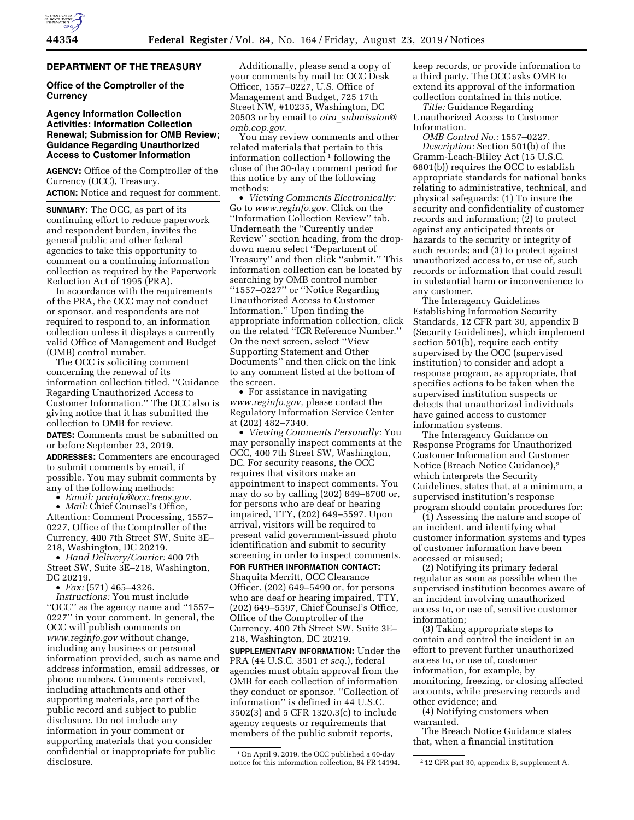## **DEPARTMENT OF THE TREASURY**

# **Office of the Comptroller of the Currency**

# **Agency Information Collection Activities: Information Collection Renewal; Submission for OMB Review; Guidance Regarding Unauthorized Access to Customer Information**

**AGENCY:** Office of the Comptroller of the Currency (OCC), Treasury. **ACTION:** Notice and request for comment.

**SUMMARY:** The OCC, as part of its continuing effort to reduce paperwork and respondent burden, invites the general public and other federal agencies to take this opportunity to comment on a continuing information collection as required by the Paperwork Reduction Act of 1995 (PRA).

In accordance with the requirements of the PRA, the OCC may not conduct or sponsor, and respondents are not required to respond to, an information collection unless it displays a currently valid Office of Management and Budget (OMB) control number.

The OCC is soliciting comment concerning the renewal of its information collection titled, ''Guidance Regarding Unauthorized Access to Customer Information.'' The OCC also is giving notice that it has submitted the collection to OMB for review.

**DATES:** Comments must be submitted on or before September 23, 2019.

**ADDRESSES:** Commenters are encouraged to submit comments by email, if possible. You may submit comments by any of the following methods:

• *Email: [prainfo@occ.treas.gov.](mailto:prainfo@occ.treas.gov)* 

• *Mail:* Chief Counsel's Office, Attention: Comment Processing, 1557– 0227, Office of the Comptroller of the Currency, 400 7th Street SW, Suite 3E– 218, Washington, DC 20219.

• *Hand Delivery/Courier:* 400 7th Street SW, Suite 3E–218, Washington, DC 20219.

• *Fax:* (571) 465–4326.

*Instructions:* You must include ''OCC'' as the agency name and ''1557– 0227'' in your comment. In general, the OCC will publish comments on *[www.reginfo.gov](http://www.reginfo.gov)* without change, including any business or personal information provided, such as name and address information, email addresses, or phone numbers. Comments received, including attachments and other supporting materials, are part of the public record and subject to public disclosure. Do not include any information in your comment or supporting materials that you consider confidential or inappropriate for public disclosure.

Additionally, please send a copy of your comments by mail to: OCC Desk Officer, 1557–0227, U.S. Office of Management and Budget, 725 17th Street NW, #10235, Washington, DC 20503 or by email to *oira*\_*[submission@](mailto:oira_submission@omb.eop.gov) [omb.eop.gov.](mailto:oira_submission@omb.eop.gov)* 

You may review comments and other related materials that pertain to this information collection  $1$  following the close of the 30-day comment period for this notice by any of the following methods:

• *Viewing Comments Electronically:*  Go to *[www.reginfo.gov.](http://www.reginfo.gov)* Click on the ''Information Collection Review'' tab. Underneath the ''Currently under Review'' section heading, from the dropdown menu select ''Department of Treasury'' and then click ''submit.'' This information collection can be located by searching by OMB control number ''1557–0227'' or ''Notice Regarding Unauthorized Access to Customer Information.'' Upon finding the appropriate information collection, click on the related ''ICR Reference Number.'' On the next screen, select ''View Supporting Statement and Other Documents'' and then click on the link to any comment listed at the bottom of the screen.

• For assistance in navigating *[www.reginfo.gov,](http://www.reginfo.gov)* please contact the Regulatory Information Service Center at (202) 482–7340.

• *Viewing Comments Personally:* You may personally inspect comments at the OCC, 400 7th Street SW, Washington, DC. For security reasons, the OCC requires that visitors make an appointment to inspect comments. You may do so by calling (202) 649–6700 or, for persons who are deaf or hearing impaired, TTY, (202) 649–5597. Upon arrival, visitors will be required to present valid government-issued photo identification and submit to security screening in order to inspect comments.

**FOR FURTHER INFORMATION CONTACT:**  Shaquita Merritt, OCC Clearance Officer, (202) 649–5490 or, for persons who are deaf or hearing impaired, TTY, (202) 649–5597, Chief Counsel's Office, Office of the Comptroller of the Currency, 400 7th Street SW, Suite 3E– 218, Washington, DC 20219.

**SUPPLEMENTARY INFORMATION:** Under the PRA (44 U.S.C. 3501 *et seq.*), federal agencies must obtain approval from the OMB for each collection of information they conduct or sponsor. ''Collection of information'' is defined in 44 U.S.C. 3502(3) and 5 CFR 1320.3(c) to include agency requests or requirements that members of the public submit reports,

keep records, or provide information to a third party. The OCC asks OMB to extend its approval of the information collection contained in this notice.

*Title:* Guidance Regarding Unauthorized Access to Customer Information.

*OMB Control No.:* 1557–0227. *Description:* Section 501(b) of the Gramm-Leach-Bliley Act (15 U.S.C. 6801(b)) requires the OCC to establish appropriate standards for national banks relating to administrative, technical, and physical safeguards: (1) To insure the security and confidentiality of customer records and information; (2) to protect against any anticipated threats or hazards to the security or integrity of such records; and (3) to protect against unauthorized access to, or use of, such records or information that could result in substantial harm or inconvenience to any customer.

The Interagency Guidelines Establishing Information Security Standards, 12 CFR part 30, appendix B (Security Guidelines), which implement section 501(b), require each entity supervised by the OCC (supervised institution) to consider and adopt a response program, as appropriate, that specifies actions to be taken when the supervised institution suspects or detects that unauthorized individuals have gained access to customer information systems.

The Interagency Guidance on Response Programs for Unauthorized Customer Information and Customer Notice (Breach Notice Guidance),2 which interprets the Security Guidelines, states that, at a minimum, a supervised institution's response program should contain procedures for:

(1) Assessing the nature and scope of an incident, and identifying what customer information systems and types of customer information have been accessed or misused;

(2) Notifying its primary federal regulator as soon as possible when the supervised institution becomes aware of an incident involving unauthorized access to, or use of, sensitive customer information;

(3) Taking appropriate steps to contain and control the incident in an effort to prevent further unauthorized access to, or use of, customer information, for example, by monitoring, freezing, or closing affected accounts, while preserving records and other evidence; and

(4) Notifying customers when warranted.

The Breach Notice Guidance states that, when a financial institution

<sup>1</sup>On April 9, 2019, the OCC published a 60-day notice for this information collection, 84 FR 14194. <sup>212</sup> CFR part 30, appendix B, supplement A.